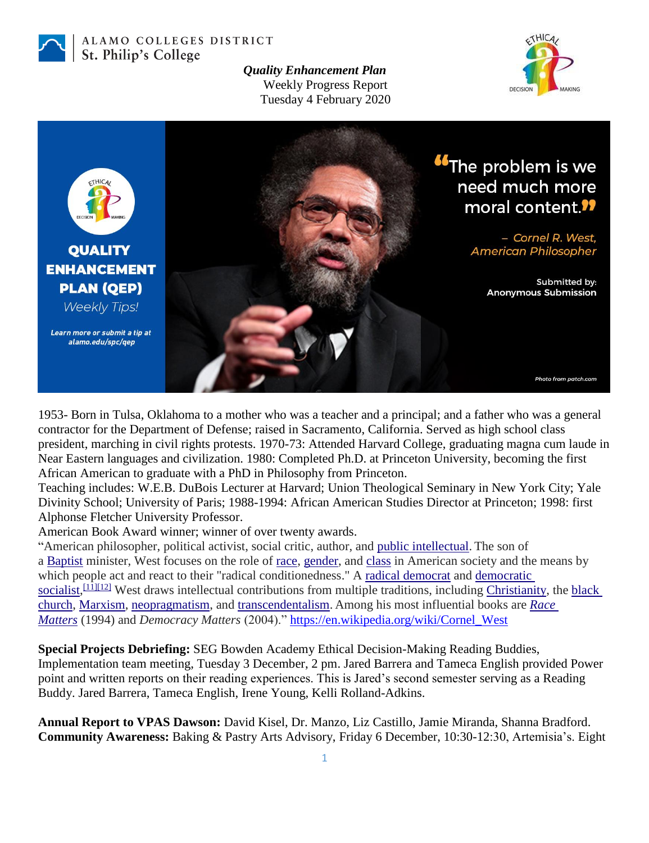

ALAMO COLLEGES DISTRICT St. Philip's College

> *Quality Enhancement Plan* Weekly Progress Report Tuesday 4 February 2020





1953- Born in Tulsa, Oklahoma to a mother who was a teacher and a principal; and a father who was a general contractor for the Department of Defense; raised in Sacramento, California. Served as high school class president, marching in civil rights protests. 1970-73: Attended Harvard College, graduating magna cum laude in Near Eastern languages and civilization. 1980: Completed Ph.D. at Princeton University, becoming the first African American to graduate with a PhD in Philosophy from Princeton.

Teaching includes: W.E.B. DuBois Lecturer at Harvard; Union Theological Seminary in New York City; Yale Divinity School; University of Paris; 1988-1994: African American Studies Director at Princeton; 1998: first Alphonse Fletcher University Professor.

American Book Award winner; winner of over twenty awards.

"American philosopher, political activist, social critic, author, and [public intellectual.](https://en.wikipedia.org/wiki/Public_intellectual) The son of a [Baptist](https://en.wikipedia.org/wiki/Baptist) minister, West focuses on the role of [race,](https://en.wikipedia.org/wiki/Race_(classification_of_human_beings)) [gender,](https://en.wikipedia.org/wiki/Gender) and [class](https://en.wikipedia.org/wiki/Class_(social)) in American society and the means by which people act and react to their "radical conditionedness." A [radical democrat](https://en.wikipedia.org/wiki/Radical_democracy) and democratic [socialist,](https://en.wikipedia.org/wiki/Democratic_socialism)  $[11][12]$  $[11][12]$  West draws intellectual contributions from multiple traditions, including [Christianity,](https://en.wikipedia.org/wiki/Christianity) the black [church,](https://en.wikipedia.org/wiki/Black_church) [Marxism,](https://en.wikipedia.org/wiki/Marxism) [neopragmatism,](https://en.wikipedia.org/wiki/Neopragmatism) and [transcendentalism.](https://en.wikipedia.org/wiki/Transcendentalism) Among his most influential books are *[Race](https://en.wikipedia.org/wiki/Race_Matters)  [Matters](https://en.wikipedia.org/wiki/Race_Matters)* (1994) and *Democracy Matters* (2004)." [https://en.wikipedia.org/wiki/Cornel\\_West](https://en.wikipedia.org/wiki/Cornel_West)

**Special Projects Debriefing:** SEG Bowden Academy Ethical Decision-Making Reading Buddies, Implementation team meeting, Tuesday 3 December, 2 pm. Jared Barrera and Tameca English provided Power point and written reports on their reading experiences. This is Jared's second semester serving as a Reading Buddy. Jared Barrera, Tameca English, Irene Young, Kelli Rolland-Adkins.

**Annual Report to VPAS Dawson:** David Kisel, Dr. Manzo, Liz Castillo, Jamie Miranda, Shanna Bradford. **Community Awareness:** Baking & Pastry Arts Advisory, Friday 6 December, 10:30-12:30, Artemisia's. Eight